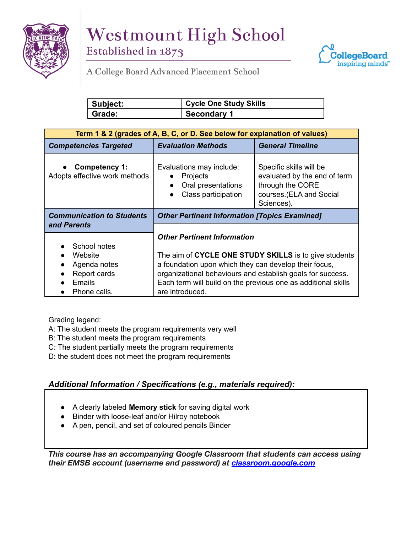



**STANDARDS & PROCEDURES**

| Subject: | <b>Cycle One Study Skills</b> |
|----------|-------------------------------|
| Grade:   | Secondary 1                   |

| Term 1 & 2 (grades of A, B, C, or D. See below for explanation of values) |                                                                                          |                                                                                                                      |  |
|---------------------------------------------------------------------------|------------------------------------------------------------------------------------------|----------------------------------------------------------------------------------------------------------------------|--|
| <b>Competencies Targeted</b>                                              | <b>Evaluation Methods</b>                                                                | <b>General Timeline</b>                                                                                              |  |
| Competency 1:<br>Adopts effective work methods                            | Evaluations may include:<br><b>Projects</b><br>Oral presentations<br>Class participation | Specific skills will be<br>evaluated by the end of term<br>through the CORE<br>courses.(ELA and Social<br>Sciences). |  |
| <b>Communication to Students</b>                                          | <b>Other Pertinent Information [Topics Examined]</b>                                     |                                                                                                                      |  |
| and Parents                                                               |                                                                                          |                                                                                                                      |  |
|                                                                           | <b>Other Pertinent Information</b>                                                       |                                                                                                                      |  |
| School notes                                                              |                                                                                          |                                                                                                                      |  |
| Website                                                                   | The aim of CYCLE ONE STUDY SKILLS is to give students                                    |                                                                                                                      |  |
| Agenda notes                                                              | a foundation upon which they can develop their focus,                                    |                                                                                                                      |  |
| Report cards                                                              | organizational behaviours and establish goals for success.                               |                                                                                                                      |  |
| Emails                                                                    | Each term will build on the previous one as additional skills                            |                                                                                                                      |  |
| Phone calls.                                                              | are introduced.                                                                          |                                                                                                                      |  |

Grading legend:

A: The student meets the program requirements very well

- B: The student meets the program requirements
- C: The student partially meets the program requirements
- D: the student does not meet the program requirements

## *Additional Information / Specifications (e.g., materials required):*

- A clearly labeled **Memory stick** for saving digital work
- Binder with loose-leaf and/or Hilroy notebook
- A pen, pencil, and set of coloured pencils Binder

*This course has an accompanying Google Classroom that students can access using their EMSB account (username and password) at [classroom.google.com](http://classroom.google.com/)*